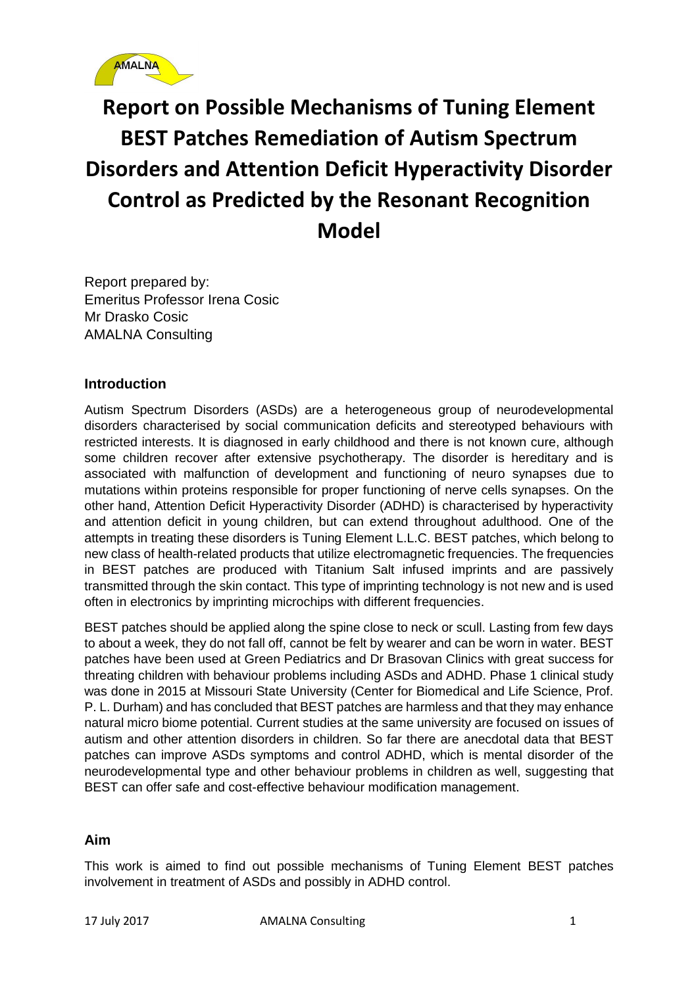

# **Report on Possible Mechanisms of Tuning Element BEST Patches Remediation of Autism Spectrum Disorders and Attention Deficit Hyperactivity Disorder Control as Predicted by the Resonant Recognition Model**

Report prepared by: Emeritus Professor Irena Cosic Mr Drasko Cosic AMALNA Consulting

# **Introduction**

Autism Spectrum Disorders (ASDs) are a heterogeneous group of neurodevelopmental disorders characterised by social communication deficits and stereotyped behaviours with restricted interests. It is diagnosed in early childhood and there is not known cure, although some children recover after extensive psychotherapy. The disorder is hereditary and is associated with malfunction of development and functioning of neuro synapses due to mutations within proteins responsible for proper functioning of nerve cells synapses. On the other hand, Attention Deficit Hyperactivity Disorder (ADHD) is characterised by hyperactivity and attention deficit in young children, but can extend throughout adulthood. One of the attempts in treating these disorders is Tuning Element L.L.C. BEST patches, which belong to new class of health-related products that utilize electromagnetic frequencies. The frequencies in BEST patches are produced with Titanium Salt infused imprints and are passively transmitted through the skin contact. This type of imprinting technology is not new and is used often in electronics by imprinting microchips with different frequencies.

BEST patches should be applied along the spine close to neck or scull. Lasting from few days to about a week, they do not fall off, cannot be felt by wearer and can be worn in water. BEST patches have been used at Green Pediatrics and Dr Brasovan Clinics with great success for threating children with behaviour problems including ASDs and ADHD. Phase 1 clinical study was done in 2015 at Missouri State University (Center for Biomedical and Life Science, Prof. P. L. Durham) and has concluded that BEST patches are harmless and that they may enhance natural micro biome potential. Current studies at the same university are focused on issues of autism and other attention disorders in children. So far there are anecdotal data that BEST patches can improve ASDs symptoms and control ADHD, which is mental disorder of the neurodevelopmental type and other behaviour problems in children as well, suggesting that BEST can offer safe and cost-effective behaviour modification management.

# **Aim**

This work is aimed to find out possible mechanisms of Tuning Element BEST patches involvement in treatment of ASDs and possibly in ADHD control.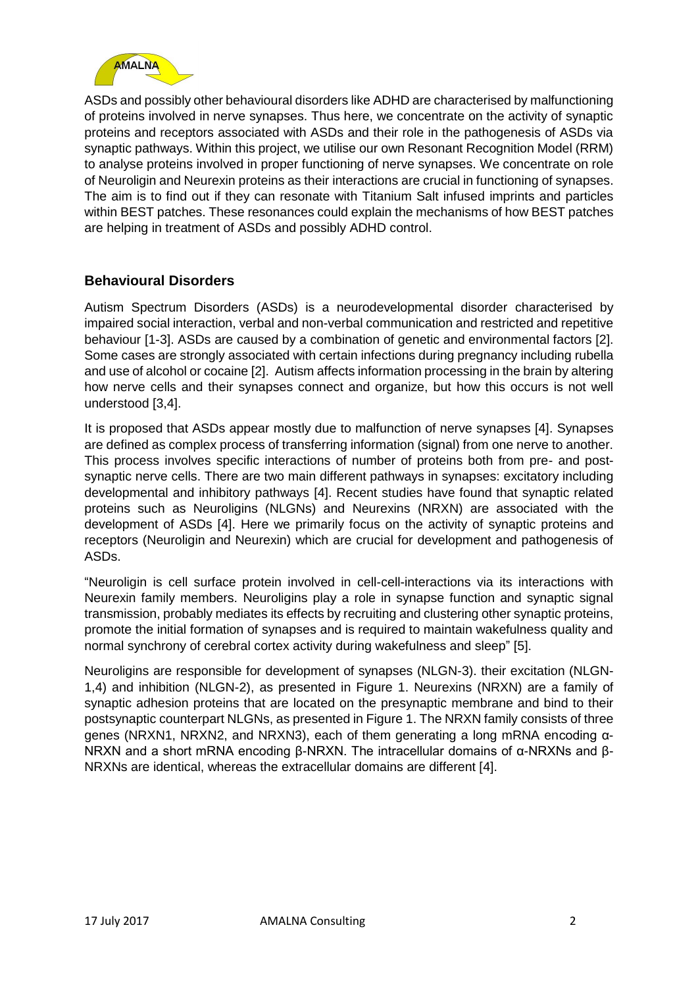

ASDs and possibly other behavioural disorders like ADHD are characterised by malfunctioning of proteins involved in nerve synapses. Thus here, we concentrate on the activity of synaptic proteins and receptors associated with ASDs and their role in the pathogenesis of ASDs via synaptic pathways. Within this project, we utilise our own Resonant Recognition Model (RRM) to analyse proteins involved in proper functioning of nerve synapses. We concentrate on role of Neuroligin and Neurexin proteins as their interactions are crucial in functioning of synapses. The aim is to find out if they can resonate with Titanium Salt infused imprints and particles within BEST patches. These resonances could explain the mechanisms of how BEST patches are helping in treatment of ASDs and possibly ADHD control.

# **Behavioural Disorders**

Autism Spectrum Disorders (ASDs) is a neurodevelopmental disorder characterised by impaired social interaction, verbal and non-verbal communication and restricted and repetitive behaviour [1-3]. ASDs are caused by a combination of genetic and environmental factors [2]. Some cases are strongly associated with certain infections during pregnancy including rubella and use of alcohol or cocaine [2]. Autism affects information processing in the brain by altering how nerve cells and their synapses connect and organize, but how this occurs is not well understood [3,4].

It is proposed that ASDs appear mostly due to malfunction of nerve synapses [4]. Synapses are defined as complex process of transferring information (signal) from one nerve to another. This process involves specific interactions of number of proteins both from pre- and postsynaptic nerve cells. There are two main different pathways in synapses: excitatory including developmental and inhibitory pathways [4]. Recent studies have found that synaptic related proteins such as Neuroligins (NLGNs) and Neurexins (NRXN) are associated with the development of ASDs [4]. Here we primarily focus on the activity of synaptic proteins and receptors (Neuroligin and Neurexin) which are crucial for development and pathogenesis of ASDs.

"Neuroligin is cell surface protein involved in cell-cell-interactions via its interactions with Neurexin family members. Neuroligins play a role in synapse function and synaptic signal transmission, probably mediates its effects by recruiting and clustering other synaptic proteins, promote the initial formation of synapses and is required to maintain wakefulness quality and normal synchrony of cerebral cortex activity during wakefulness and sleep" [5].

Neuroligins are responsible for development of synapses (NLGN-3). their excitation (NLGN-1,4) and inhibition (NLGN-2), as presented in Figure 1. Neurexins (NRXN) are a family of synaptic adhesion proteins that are located on the presynaptic membrane and bind to their postsynaptic counterpart NLGNs, as presented in Figure 1. The NRXN family consists of three genes (NRXN1, NRXN2, and NRXN3), each of them generating a long mRNA encoding α-NRXN and a short mRNA encoding β-NRXN. The intracellular domains of α-NRXNs and β-NRXNs are identical, whereas the extracellular domains are different [4].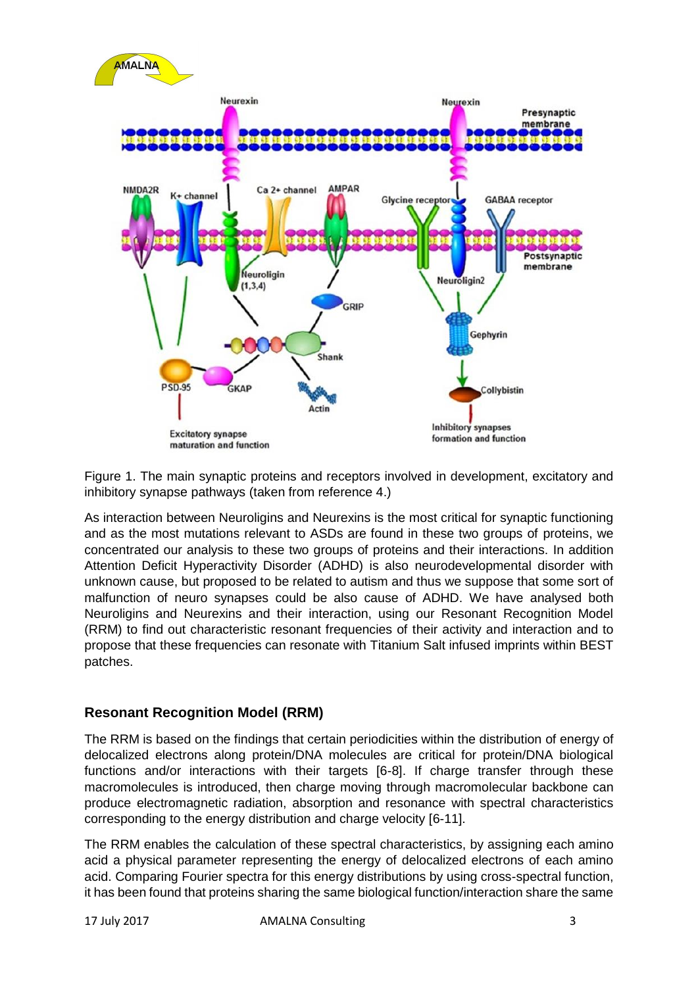

Figure 1. The main synaptic proteins and receptors involved in development, excitatory and inhibitory synapse pathways (taken from reference 4.)

As interaction between Neuroligins and Neurexins is the most critical for synaptic functioning and as the most mutations relevant to ASDs are found in these two groups of proteins, we concentrated our analysis to these two groups of proteins and their interactions. In addition Attention Deficit Hyperactivity Disorder (ADHD) is also neurodevelopmental disorder with unknown cause, but proposed to be related to autism and thus we suppose that some sort of malfunction of neuro synapses could be also cause of ADHD. We have analysed both Neuroligins and Neurexins and their interaction, using our Resonant Recognition Model (RRM) to find out characteristic resonant frequencies of their activity and interaction and to propose that these frequencies can resonate with Titanium Salt infused imprints within BEST patches.

# **Resonant Recognition Model (RRM)**

The RRM is based on the findings that certain periodicities within the distribution of energy of delocalized electrons along protein/DNA molecules are critical for protein/DNA biological functions and/or interactions with their targets [6-8]. If charge transfer through these macromolecules is introduced, then charge moving through macromolecular backbone can produce electromagnetic radiation, absorption and resonance with spectral characteristics corresponding to the energy distribution and charge velocity [6-11].

The RRM enables the calculation of these spectral characteristics, by assigning each amino acid a physical parameter representing the energy of delocalized electrons of each amino acid. Comparing Fourier spectra for this energy distributions by using cross-spectral function, it has been found that proteins sharing the same biological function/interaction share the same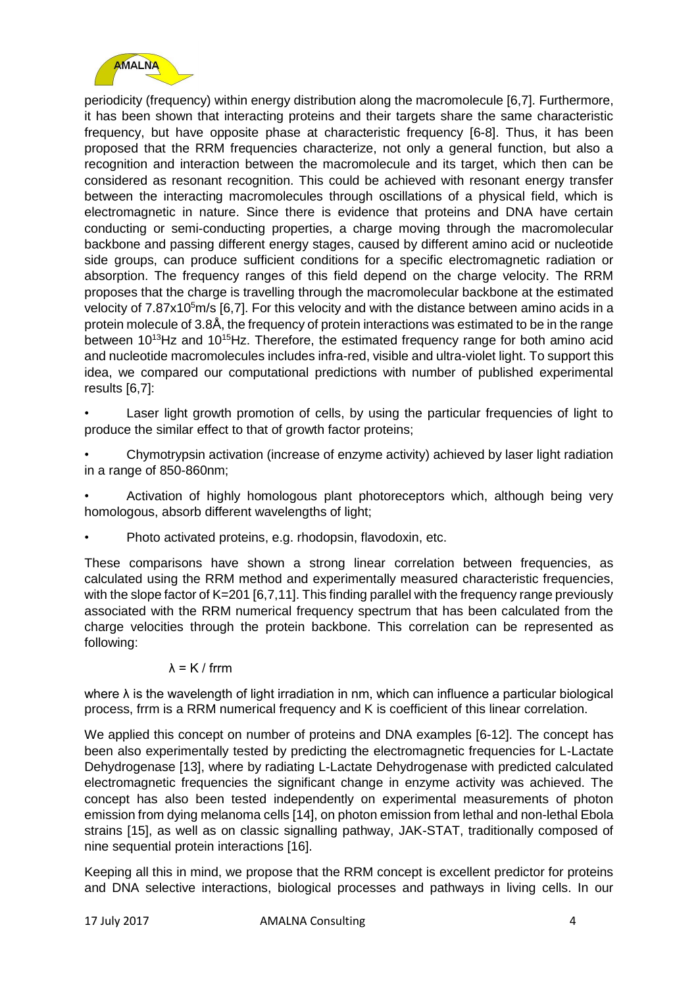

periodicity (frequency) within energy distribution along the macromolecule [6,7]. Furthermore, it has been shown that interacting proteins and their targets share the same characteristic frequency, but have opposite phase at characteristic frequency [6-8]. Thus, it has been proposed that the RRM frequencies characterize, not only a general function, but also a recognition and interaction between the macromolecule and its target, which then can be considered as resonant recognition. This could be achieved with resonant energy transfer between the interacting macromolecules through oscillations of a physical field, which is electromagnetic in nature. Since there is evidence that proteins and DNA have certain conducting or semi-conducting properties, a charge moving through the macromolecular backbone and passing different energy stages, caused by different amino acid or nucleotide side groups, can produce sufficient conditions for a specific electromagnetic radiation or absorption. The frequency ranges of this field depend on the charge velocity. The RRM proposes that the charge is travelling through the macromolecular backbone at the estimated velocity of  $7.87x10<sup>5</sup>$  m/s [6,7]. For this velocity and with the distance between amino acids in a protein molecule of 3.8Å, the frequency of protein interactions was estimated to be in the range between  $10^{13}$ Hz and  $10^{15}$ Hz. Therefore, the estimated frequency range for both amino acid and nucleotide macromolecules includes infra-red, visible and ultra-violet light. To support this idea, we compared our computational predictions with number of published experimental results [6,7]:

Laser light growth promotion of cells, by using the particular frequencies of light to produce the similar effect to that of growth factor proteins;

• Chymotrypsin activation (increase of enzyme activity) achieved by laser light radiation in a range of 850-860nm;

• Activation of highly homologous plant photoreceptors which, although being very homologous, absorb different wavelengths of light;

• Photo activated proteins, e.g. rhodopsin, flavodoxin, etc.

These comparisons have shown a strong linear correlation between frequencies, as calculated using the RRM method and experimentally measured characteristic frequencies, with the slope factor of K=201 [6,7,11]. This finding parallel with the frequency range previously associated with the RRM numerical frequency spectrum that has been calculated from the charge velocities through the protein backbone. This correlation can be represented as following:

#### λ = K / frrm

where  $\lambda$  is the wavelength of light irradiation in nm, which can influence a particular biological process, frrm is a RRM numerical frequency and K is coefficient of this linear correlation.

We applied this concept on number of proteins and DNA examples [6-12]. The concept has been also experimentally tested by predicting the electromagnetic frequencies for L-Lactate Dehydrogenase [13], where by radiating L-Lactate Dehydrogenase with predicted calculated electromagnetic frequencies the significant change in enzyme activity was achieved. The concept has also been tested independently on experimental measurements of photon emission from dying melanoma cells [14], on photon emission from lethal and non-lethal Ebola strains [15], as well as on classic signalling pathway, JAK-STAT, traditionally composed of nine sequential protein interactions [16].

Keeping all this in mind, we propose that the RRM concept is excellent predictor for proteins and DNA selective interactions, biological processes and pathways in living cells. In our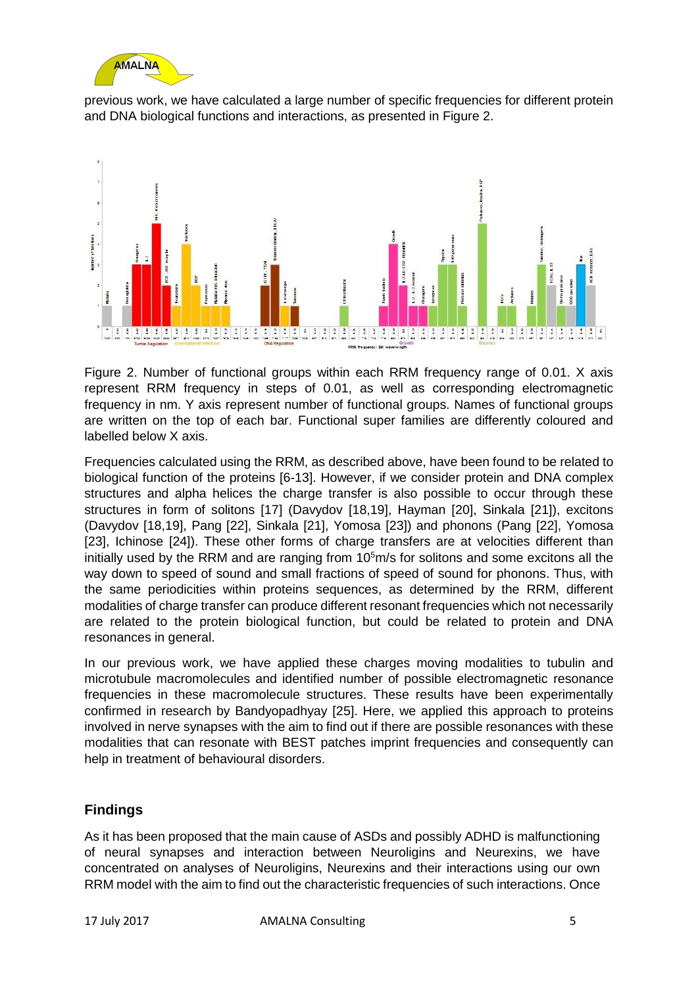

previous work, we have calculated a large number of specific frequencies for different protein and DNA biological functions and interactions, as presented in Figure 2.



Figure 2. Number of functional groups within each RRM frequency range of 0.01. X axis represent RRM frequency in steps of 0.01, as well as corresponding electromagnetic frequency in nm. Y axis represent number of functional groups. Names of functional groups are written on the top of each bar. Functional super families are differently coloured and labelled below X axis.

Frequencies calculated using the RRM, as described above, have been found to be related to biological function of the proteins [6-13]. However, if we consider protein and DNA complex structures and alpha helices the charge transfer is also possible to occur through these structures in form of solitons [17] (Davydov [18,19], Hayman [20], Sinkala [21]), excitons (Davydov [18,19], Pang [22], Sinkala [21], Yomosa [23]) and phonons (Pang [22], Yomosa [23], Ichinose [24]). These other forms of charge transfers are at velocities different than initially used by the RRM and are ranging from  $10<sup>5</sup>m/s$  for solitons and some excitons all the way down to speed of sound and small fractions of speed of sound for phonons. Thus, with the same periodicities within proteins sequences, as determined by the RRM, different modalities of charge transfer can produce different resonant frequencies which not necessarily are related to the protein biological function, but could be related to protein and DNA resonances in general.

In our previous work, we have applied these charges moving modalities to tubulin and microtubule macromolecules and identified number of possible electromagnetic resonance frequencies in these macromolecule structures. These results have been experimentally confirmed in research by Bandyopadhyay [25]. Here, we applied this approach to proteins involved in nerve synapses with the aim to find out if there are possible resonances with these modalities that can resonate with BEST patches imprint frequencies and consequently can help in treatment of behavioural disorders.

# **Findings**

As it has been proposed that the main cause of ASDs and possibly ADHD is malfunctioning of neural synapses and interaction between Neuroligins and Neurexins, we have concentrated on analyses of Neuroligins, Neurexins and their interactions using our own RRM model with the aim to find out the characteristic frequencies of such interactions. Once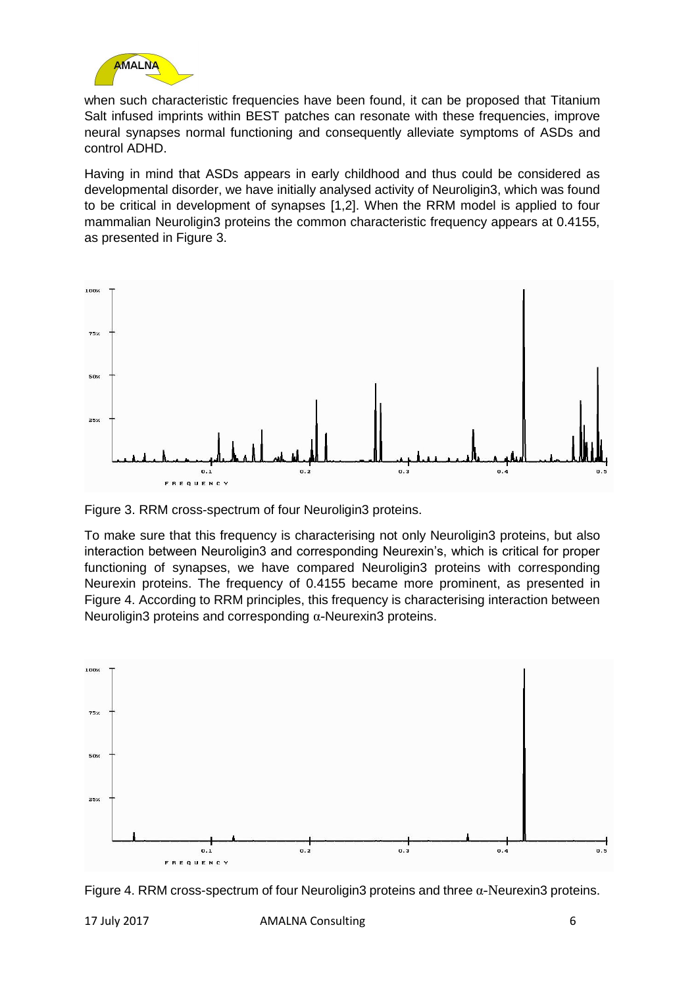

when such characteristic frequencies have been found, it can be proposed that Titanium Salt infused imprints within BEST patches can resonate with these frequencies, improve neural synapses normal functioning and consequently alleviate symptoms of ASDs and control ADHD.

Having in mind that ASDs appears in early childhood and thus could be considered as developmental disorder, we have initially analysed activity of Neuroligin3, which was found to be critical in development of synapses [1,2]. When the RRM model is applied to four mammalian Neuroligin3 proteins the common characteristic frequency appears at 0.4155, as presented in Figure 3.



Figure 3. RRM cross-spectrum of four Neuroligin3 proteins.

To make sure that this frequency is characterising not only Neuroligin3 proteins, but also interaction between Neuroligin3 and corresponding Neurexin's, which is critical for proper functioning of synapses, we have compared Neuroligin3 proteins with corresponding Neurexin proteins. The frequency of 0.4155 became more prominent, as presented in Figure 4. According to RRM principles, this frequency is characterising interaction between Neuroligin3 proteins and corresponding α-Neurexin3 proteins.



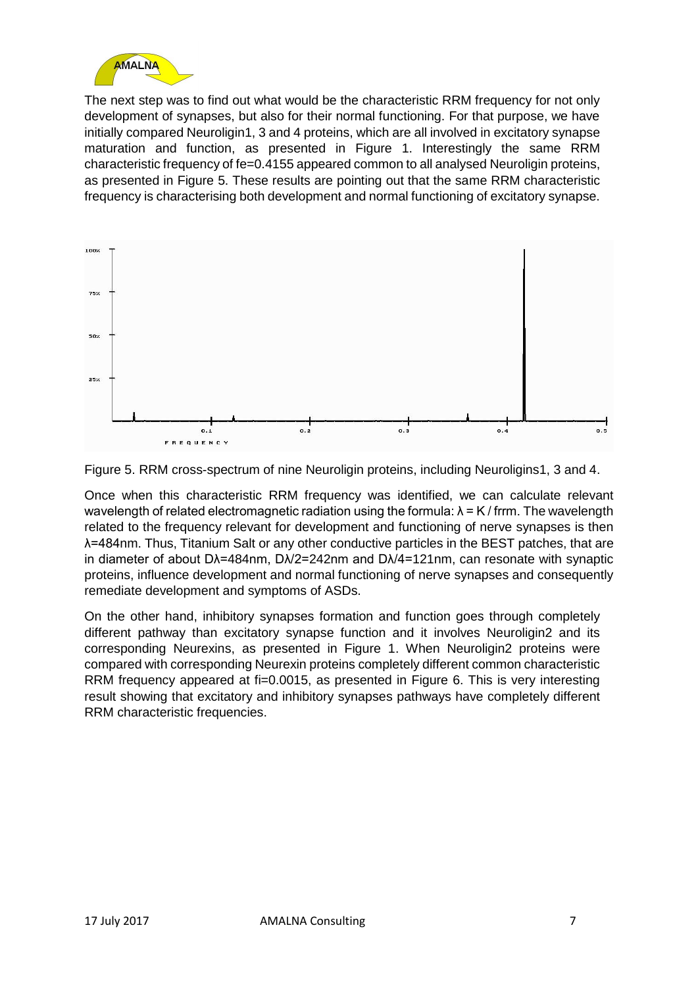

The next step was to find out what would be the characteristic RRM frequency for not only development of synapses, but also for their normal functioning. For that purpose, we have initially compared Neuroligin1, 3 and 4 proteins, which are all involved in excitatory synapse maturation and function, as presented in Figure 1. Interestingly the same RRM characteristic frequency of fe=0.4155 appeared common to all analysed Neuroligin proteins, as presented in Figure 5. These results are pointing out that the same RRM characteristic frequency is characterising both development and normal functioning of excitatory synapse.





Once when this characteristic RRM frequency was identified, we can calculate relevant wavelength of related electromagnetic radiation using the formula:  $\lambda = K /$  frrm. The wavelength related to the frequency relevant for development and functioning of nerve synapses is then λ=484nm. Thus, Titanium Salt or any other conductive particles in the BEST patches, that are in diameter of about Dλ=484nm, Dλ/2=242nm and Dλ/4=121nm, can resonate with synaptic proteins, influence development and normal functioning of nerve synapses and consequently remediate development and symptoms of ASDs.

On the other hand, inhibitory synapses formation and function goes through completely different pathway than excitatory synapse function and it involves Neuroligin2 and its corresponding Neurexins, as presented in Figure 1. When Neuroligin2 proteins were compared with corresponding Neurexin proteins completely different common characteristic RRM frequency appeared at fi=0.0015, as presented in Figure 6. This is very interesting result showing that excitatory and inhibitory synapses pathways have completely different RRM characteristic frequencies.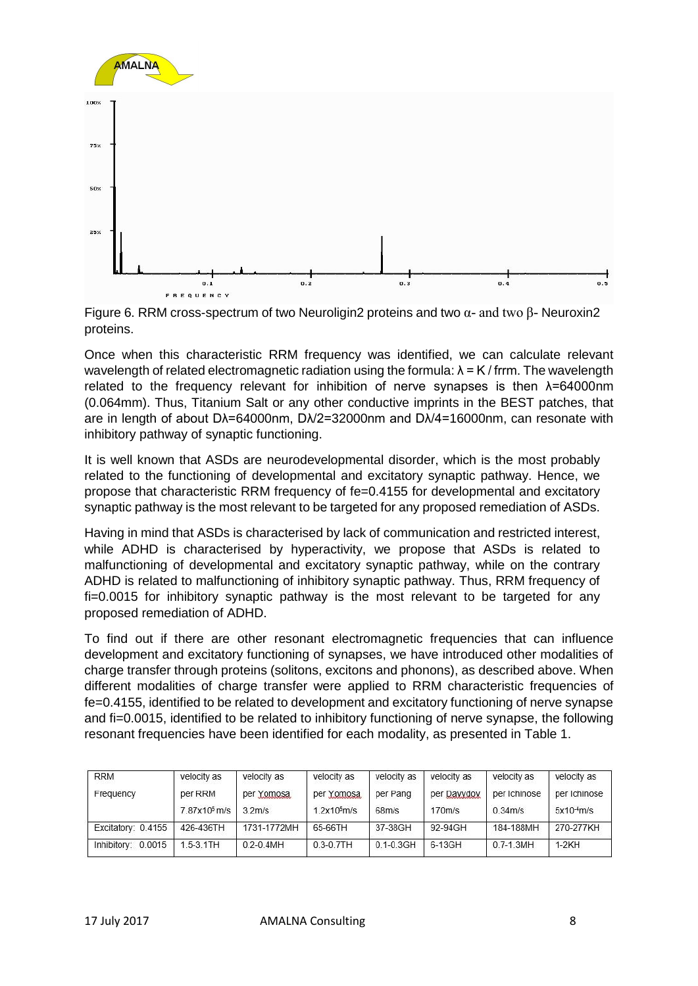

Figure 6. RRM cross-spectrum of two Neuroligin2 proteins and two  $\alpha$ - and two  $\beta$ - Neuroxin2 proteins.

Once when this characteristic RRM frequency was identified, we can calculate relevant wavelength of related electromagnetic radiation using the formula:  $\lambda = K /$  frrm. The wavelength related to the frequency relevant for inhibition of nerve synapses is then λ=64000nm (0.064mm). Thus, Titanium Salt or any other conductive imprints in the BEST patches, that are in length of about Dλ=64000nm, Dλ/2=32000nm and Dλ/4=16000nm, can resonate with inhibitory pathway of synaptic functioning.

It is well known that ASDs are neurodevelopmental disorder, which is the most probably related to the functioning of developmental and excitatory synaptic pathway. Hence, we propose that characteristic RRM frequency of fe=0.4155 for developmental and excitatory synaptic pathway is the most relevant to be targeted for any proposed remediation of ASDs.

Having in mind that ASDs is characterised by lack of communication and restricted interest, while ADHD is characterised by hyperactivity, we propose that ASDs is related to malfunctioning of developmental and excitatory synaptic pathway, while on the contrary ADHD is related to malfunctioning of inhibitory synaptic pathway. Thus, RRM frequency of fi=0.0015 for inhibitory synaptic pathway is the most relevant to be targeted for any proposed remediation of ADHD.

To find out if there are other resonant electromagnetic frequencies that can influence development and excitatory functioning of synapses, we have introduced other modalities of charge transfer through proteins (solitons, excitons and phonons), as described above. When different modalities of charge transfer were applied to RRM characteristic frequencies of fe=0.4155, identified to be related to development and excitatory functioning of nerve synapse and fi=0.0015, identified to be related to inhibitory functioning of nerve synapse, the following resonant frequencies have been identified for each modality, as presented in Table 1.

| <b>RRM</b>         | velocity as              | velocity as        | velocity as             | velocity as        | velocity as | velocity as         | velocity as  |
|--------------------|--------------------------|--------------------|-------------------------|--------------------|-------------|---------------------|--------------|
| Frequency          | per RRM                  | per Yomosa         | per Yomosa              | per Pang           | per Davydov | per Ichinose        | per Ichinose |
|                    | 7.87x10 <sup>5</sup> m/s | 3.2 <sub>m/s</sub> | 1.2x10 <sup>5</sup> m/s | 68 <sub>m</sub> /s | 170m/s      | 0.34 <sub>m/s</sub> | $5x10-4m/s$  |
| Excitatory: 0.4155 | 426-436TH                | 1731-1772MH        | 65-66TH                 | 37-38GH            | 92-94GH     | 184-188MH           | 270-277KH    |
| Inhibitory: 0.0015 | $1.5 - 3.1TH$            | $0.2 - 0.4$ MH     | $0.3 - 0.7TH$           | $0.1 - 0.3$ GH     | 6-13GH      | $0.7 - 1.3$ MH      | $1-2KH$      |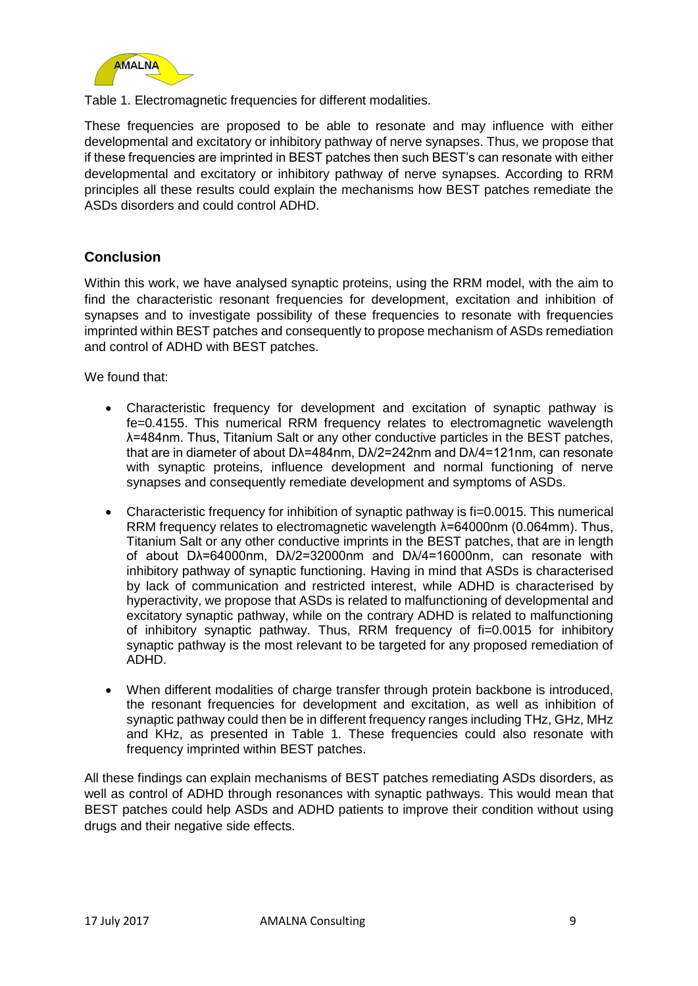

Table 1. Electromagnetic frequencies for different modalities.

These frequencies are proposed to be able to resonate and may influence with either developmental and excitatory or inhibitory pathway of nerve synapses. Thus, we propose that if these frequencies are imprinted in BEST patches then such BEST's can resonate with either developmental and excitatory or inhibitory pathway of nerve synapses. According to RRM principles all these results could explain the mechanisms how BEST patches remediate the ASDs disorders and could control ADHD.

# **Conclusion**

Within this work, we have analysed synaptic proteins, using the RRM model, with the aim to find the characteristic resonant frequencies for development, excitation and inhibition of synapses and to investigate possibility of these frequencies to resonate with frequencies imprinted within BEST patches and consequently to propose mechanism of ASDs remediation and control of ADHD with BEST patches.

We found that:

- Characteristic frequency for development and excitation of synaptic pathway is fe=0.4155. This numerical RRM frequency relates to electromagnetic wavelength λ=484nm. Thus, Titanium Salt or any other conductive particles in the BEST patches, that are in diameter of about Dλ=484nm, Dλ/2=242nm and Dλ/4=121nm, can resonate with synaptic proteins, influence development and normal functioning of nerve synapses and consequently remediate development and symptoms of ASDs.
- Characteristic frequency for inhibition of synaptic pathway is fi=0.0015. This numerical RRM frequency relates to electromagnetic wavelength λ=64000nm (0.064mm). Thus, Titanium Salt or any other conductive imprints in the BEST patches, that are in length of about Dλ=64000nm, Dλ/2=32000nm and Dλ/4=16000nm, can resonate with inhibitory pathway of synaptic functioning. Having in mind that ASDs is characterised by lack of communication and restricted interest, while ADHD is characterised by hyperactivity, we propose that ASDs is related to malfunctioning of developmental and excitatory synaptic pathway, while on the contrary ADHD is related to malfunctioning of inhibitory synaptic pathway. Thus, RRM frequency of fi=0.0015 for inhibitory synaptic pathway is the most relevant to be targeted for any proposed remediation of ADHD.
- When different modalities of charge transfer through protein backbone is introduced. the resonant frequencies for development and excitation, as well as inhibition of synaptic pathway could then be in different frequency ranges including THz, GHz, MHz and KHz, as presented in Table 1. These frequencies could also resonate with frequency imprinted within BEST patches.

All these findings can explain mechanisms of BEST patches remediating ASDs disorders, as well as control of ADHD through resonances with synaptic pathways. This would mean that BEST patches could help ASDs and ADHD patients to improve their condition without using drugs and their negative side effects.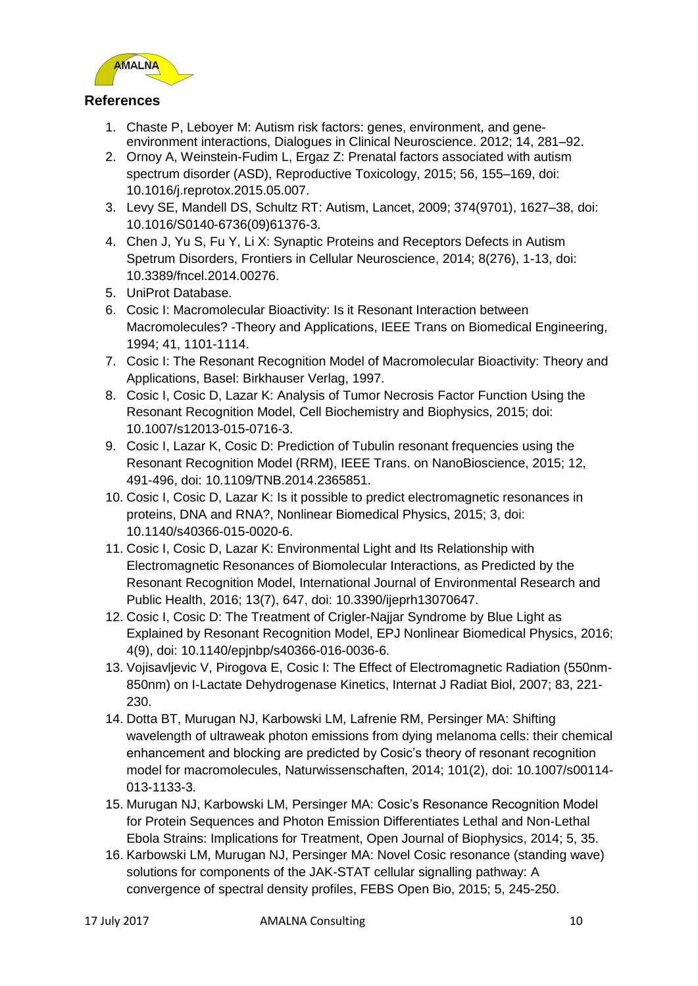

### **References**

- 1. Chaste P, Leboyer M: Autism risk factors: genes, environment, and geneenvironment interactions, Dialogues in Clinical Neuroscience. 2012; 14, 281–92.
- 2. Ornoy A, Weinstein-Fudim L, Ergaz Z: Prenatal factors associated with autism spectrum disorder (ASD), Reproductive Toxicology, 2015; 56, 155–169, doi: 10.1016/j.reprotox.2015.05.007.
- 3. Levy SE, Mandell DS, Schultz RT: Autism, Lancet, 2009; 374(9701), 1627–38, doi: 10.1016/S0140-6736(09)61376-3.
- 4. Chen J, Yu S, Fu Y, Li X: Synaptic Proteins and Receptors Defects in Autism Spetrum Disorders, Frontiers in Cellular Neuroscience, 2014; 8(276), 1-13, doi: 10.3389/fncel.2014.00276.
- 5. UniProt Database.
- 6. Cosic I: Macromolecular Bioactivity: Is it Resonant Interaction between Macromolecules? -Theory and Applications, IEEE Trans on Biomedical Engineering, 1994; 41, 1101-1114.
- 7. Cosic I: The Resonant Recognition Model of Macromolecular Bioactivity: Theory and Applications, Basel: Birkhauser Verlag, 1997.
- 8. Cosic I, Cosic D, Lazar K: Analysis of Tumor Necrosis Factor Function Using the Resonant Recognition Model, Cell Biochemistry and Biophysics, 2015; doi: 10.1007/s12013-015-0716-3.
- 9. Cosic I, Lazar K, Cosic D: Prediction of Tubulin resonant frequencies using the Resonant Recognition Model (RRM), IEEE Trans. on NanoBioscience, 2015; 12, 491-496, doi: 10.1109/TNB.2014.2365851.
- 10. Cosic I, Cosic D, Lazar K: Is it possible to predict electromagnetic resonances in proteins, DNA and RNA?, Nonlinear Biomedical Physics, 2015; 3, doi: 10.1140/s40366-015-0020-6.
- 11. Cosic I, Cosic D, Lazar K: Environmental Light and Its Relationship with Electromagnetic Resonances of Biomolecular Interactions, as Predicted by the Resonant Recognition Model, International Journal of Environmental Research and Public Health, 2016; 13(7), 647, doi: 10.3390/ijeprh13070647.
- 12. Cosic I, Cosic D: The Treatment of Crigler-Najjar Syndrome by Blue Light as Explained by Resonant Recognition Model, EPJ Nonlinear Biomedical Physics, 2016; 4(9), doi: 10.1140/epjnbp/s40366-016-0036-6.
- 13. Vojisavljevic V, Pirogova E, Cosic I: The Effect of Electromagnetic Radiation (550nm-850nm) on I-Lactate Dehydrogenase Kinetics, Internat J Radiat Biol, 2007; 83, 221- 230.
- 14. Dotta BT, Murugan NJ, Karbowski LM, Lafrenie RM, Persinger MA: Shifting wavelength of ultraweak photon emissions from dying melanoma cells: their chemical enhancement and blocking are predicted by Cosic's theory of resonant recognition model for macromolecules, Naturwissenschaften, 2014; 101(2), doi: 10.1007/s00114- 013-1133-3.
- 15. Murugan NJ, Karbowski LM, Persinger MA: Cosic's Resonance Recognition Model for Protein Sequences and Photon Emission Differentiates Lethal and Non-Lethal Ebola Strains: Implications for Treatment, Open Journal of Biophysics, 2014; 5, 35.
- 16. Karbowski LM, Murugan NJ, Persinger MA: Novel Cosic resonance (standing wave) solutions for components of the JAK-STAT cellular signalling pathway: A convergence of spectral density profiles, FEBS Open Bio, 2015; 5, 245-250.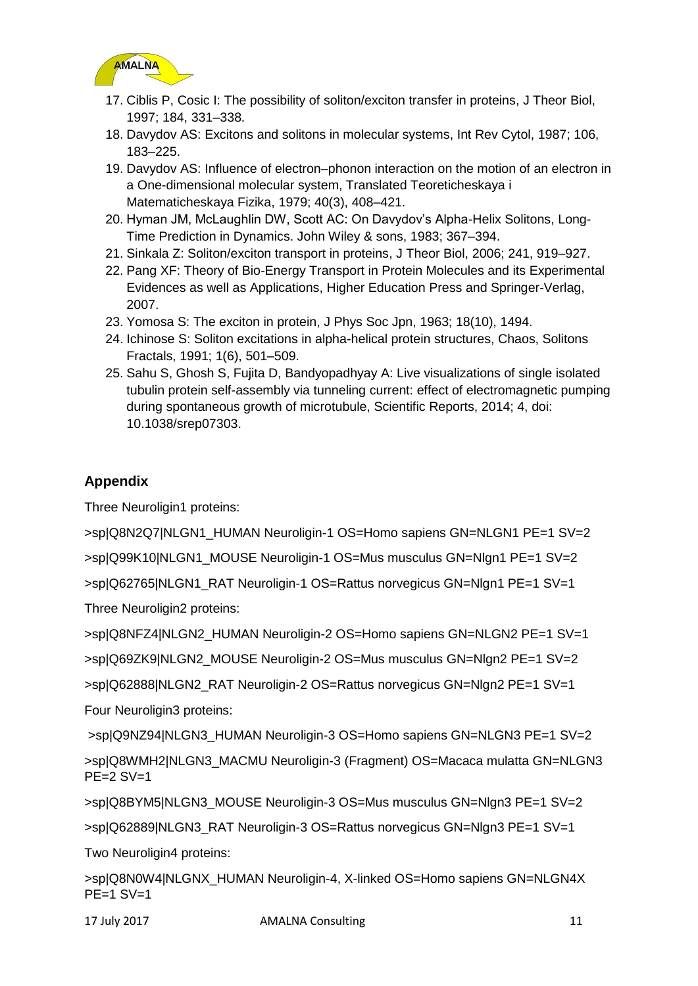

- 17. Ciblis P, Cosic I: The possibility of soliton/exciton transfer in proteins, J Theor Biol, 1997; 184, 331–338.
- 18. Davydov AS: Excitons and solitons in molecular systems, Int Rev Cytol, 1987; 106, 183–225.
- 19. Davydov AS: Influence of electron–phonon interaction on the motion of an electron in a One-dimensional molecular system, Translated Teoreticheskaya i Matematicheskaya Fizika, 1979; 40(3), 408–421.
- 20. Hyman JM, McLaughlin DW, Scott AC: On Davydov's Alpha-Helix Solitons, Long-Time Prediction in Dynamics. John Wiley & sons, 1983; 367–394.
- 21. Sinkala Z: Soliton/exciton transport in proteins, J Theor Biol, 2006; 241, 919–927.
- 22. Pang XF: Theory of Bio-Energy Transport in Protein Molecules and its Experimental Evidences as well as Applications, Higher Education Press and Springer-Verlag, 2007.
- 23. Yomosa S: The exciton in protein, J Phys Soc Jpn, 1963; 18(10), 1494.
- 24. Ichinose S: Soliton excitations in alpha-helical protein structures, Chaos, Solitons Fractals, 1991; 1(6), 501–509.
- 25. Sahu S, Ghosh S, Fujita D, Bandyopadhyay A: Live visualizations of single isolated tubulin protein self-assembly via tunneling current: effect of electromagnetic pumping during spontaneous growth of microtubule, Scientific Reports, 2014; 4, doi: 10.1038/srep07303.

# **Appendix**

Three Neuroligin1 proteins:

>sp|Q8N2Q7|NLGN1\_HUMAN Neuroligin-1 OS=Homo sapiens GN=NLGN1 PE=1 SV=2

>sp|Q99K10|NLGN1\_MOUSE Neuroligin-1 OS=Mus musculus GN=Nlgn1 PE=1 SV=2

>sp|Q62765|NLGN1\_RAT Neuroligin-1 OS=Rattus norvegicus GN=Nlgn1 PE=1 SV=1

Three Neuroligin2 proteins:

>sp|Q8NFZ4|NLGN2\_HUMAN Neuroligin-2 OS=Homo sapiens GN=NLGN2 PE=1 SV=1

>sp|Q69ZK9|NLGN2\_MOUSE Neuroligin-2 OS=Mus musculus GN=Nlgn2 PE=1 SV=2

>sp|Q62888|NLGN2\_RAT Neuroligin-2 OS=Rattus norvegicus GN=Nlgn2 PE=1 SV=1

Four Neuroligin3 proteins:

>sp|Q9NZ94|NLGN3\_HUMAN Neuroligin-3 OS=Homo sapiens GN=NLGN3 PE=1 SV=2

>sp|Q8WMH2|NLGN3\_MACMU Neuroligin-3 (Fragment) OS=Macaca mulatta GN=NLGN3  $PE=2$  SV $=1$ 

>sp|Q8BYM5|NLGN3\_MOUSE Neuroligin-3 OS=Mus musculus GN=Nlgn3 PE=1 SV=2

>sp|Q62889|NLGN3\_RAT Neuroligin-3 OS=Rattus norvegicus GN=Nlgn3 PE=1 SV=1

Two Neuroligin4 proteins:

>sp|Q8N0W4|NLGNX\_HUMAN Neuroligin-4, X-linked OS=Homo sapiens GN=NLGN4X  $PE=1$  SV $=1$